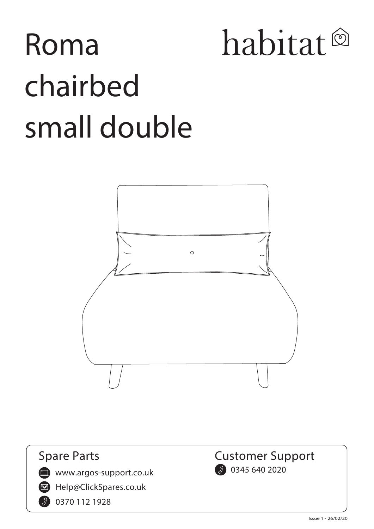# habitat<sup>®</sup> **Roma chairbed small double**



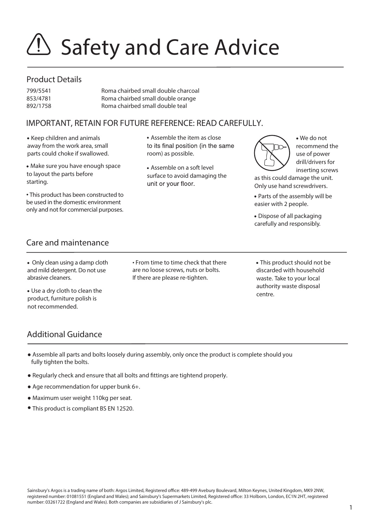# **EXAGO SAFETY AND Care Advice**

#### **Product Details**

| 799/5541 | Roma chairbed small double charcoal |
|----------|-------------------------------------|
| 853/4781 | Roma chairbed small double orange   |
| 892/1758 | Roma chairbed small double teal     |

### **IMPORTANT, RETAIN FOR FUTURE REFERENCE: READ CAREFULLY.**

Keep children and animals away from the work area, small parts could choke if swallowed.

Make sure you have enough space to layout the parts before starting.

• This product has been constructed to be used in the domestic environment only and not for commercial purposes. Assemble the item as close to its final position (in the same room) as possible.

Assemble on a soft level surface to avoid damaging the unit or vour floor.

We do not recommend the use of power drill/drivers for inserting screws

as this could damage the unit. Only use hand screwdrivers.

Parts of the assembly will be easier with 2 people.

Dispose of all packaging carefully and responsibly.

### **Care and maintenance**

 Only clean using a damp cloth and mild detergent. Do not use abrasive cleaners.

Use a dry cloth to clean the product, furniture polish is not recommended.

• From time to time check that there are no loose screws, nuts or bolts. If there are please re-tighten.

This product should not be discarded with household waste. Take to your local authority waste disposal centre.

## **Additional Guidance**

- Assemble all parts and bolts loosely during assembly, only once the product is complete should you fully tighten the bolts.
- Regularly check and ensure that all bolts and fittings are tightend properly.
- Age recommendation for upper bunk 6+.
- Maximum user weight 110kg per seat.
- This product is compliant BS EN 12520.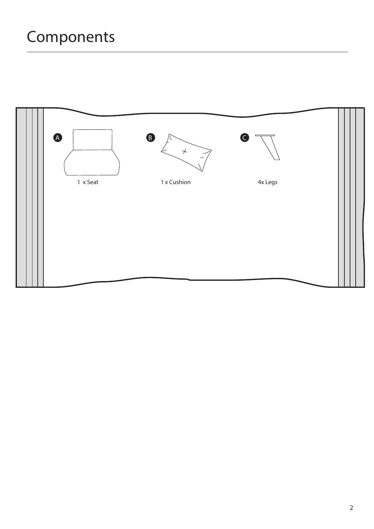# **Components**

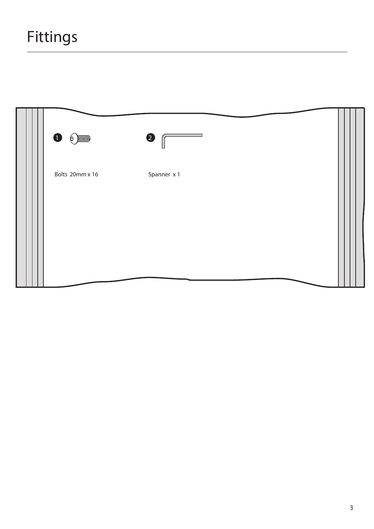|                 | $\bullet$   |  |
|-----------------|-------------|--|
| Bolts 20mm x 16 | Spanner x 1 |  |
|                 |             |  |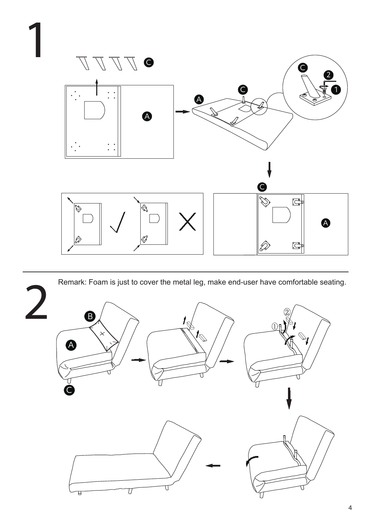

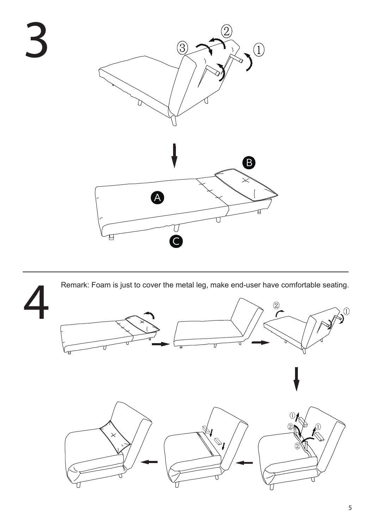